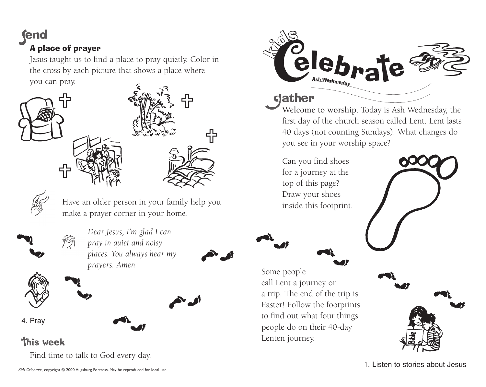# *<u>end</u>* A place of prayer

Jesus taught us to find a place to pray quietly. Color in the cross by each picture that shows a place where you can pray.





Have an older person in your family help you make a prayer corner in your home.



*Dear Jesus, I'm glad I can pray in quiet and noisy places. You always hear my prayers. Amen*



4. Pray

## **this week**

Find time to talk to God every day.



### **gather**

Some people

Lenten journey.

call Lent a journey or

people do on their 40-day

Welcome to worship. Today is Ash Wednesday, the first day of the church season called Lent. Lent lasts 40 days (not counting Sundays). What changes do you see in your worship space?

for a journey at the top of this page? Draw your shoes inside this footprint.